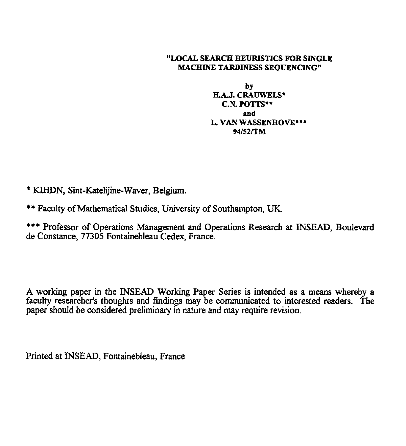#### "LOCAL SEARCH HEURISTICS FOR SINGLE MACHINE TARDINESS SEQUENCING"

by H.A.J. CRAUWELS\* C.N. POTTS\*\* and L. VAN WASSENHOVE\*\*\* 94/52/TM

\* KIHDN, Sint-Katelijine-Waver, Belgium.

\*\* Faculty of Mathematical Studies, University of Southampton, UK.

\*\*\* Professor of Operations Management and Operations Research at INSEAD, Boulevard de Constance, 77305 Fontainebleau Cedex, France.

A working paper in the INSEAD Working Paper Series is intended as a means whereby a faculty researcher's thoughts and findings may be communicated to interested readers. The paper should be considered preliminary in nature and may require revision.

Printed at INSEAD, Fontainebleau, France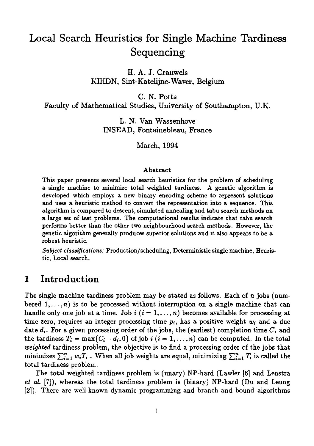# Local Search Heuristics for Single Machine Tardiness Sequencing

H. A. J. Crauwels KIHDN, Sint-Katelijne-Waver, Belgium

C. N. Potts

Faculty of Mathematical Studies, University of Southampton, U.K.

L. N. Van Wassenhove INSEAD, Fontainebleau, France

March, 1994

#### Abstract

This paper presents several local search heuristics for the problem of scheduling a single machine to minimize total weighted tardiness. A genetic algorithm is developed which employs a new binary encoding scheme to represent solutions and uses a heuristic method to convert the representation into a sequence. This algorithm is compared to descent, simulated annealing and tabu search methods on a large set of test problems. The computational results indicate that tabu search performs better than the other two neighbourhood search methods. However, the genetic algorithm generally produces superior solutions and it also appears to be a robust heuristic.

*Subject classifications:* Production/scheduling, Deterministic single machine, Heuristic, Local search.

## 1 Introduction

The single machine tardiness problem may be stated as follows. Each of  $n$  jobs (numbered  $1, \ldots, n$  is to be processed without interruption on a single machine that can handle only one job at a time. Job  $i$  ( $i = 1, \ldots, n$ ) becomes available for processing at time zero, requires an integer processing time  $p_i$ , has a positive weight  $w_i$  and a due date  $d_i$ . For a given processing order of the jobs, the (earliest) completion time  $C_i$  and the tardiness  $T_i = \max\{C_i - d_i, 0\}$  of job *i*  $(i = 1, ..., n)$  can be computed. In the total *weighted* tardiness problem, the objective is to find a processing order of the jobs that minimizes  $\sum_{i=1}^n w_i T_i$ . When all job weights are equal, minimizing  $\sum_{i=1}^n T_i$  is called the total tardiness problem.

The total weighted tardiness problem is (unary) NP-hard (Lawler [6] and Lenstra *et al. [7]),* whereas the total tardiness problem is (binary) NP-hard (Du and Leung [2]). There are well-known dynamic programming and branch and bound algorithms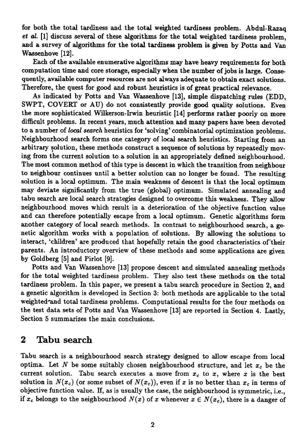for both the total tardiness and the total weighted tardiness problem. Abdul-Razaq *et al.* [1] discuss several of these algorithms for the total weighted tardiness problem, and a survey of algorithms for the total tardiness problem is given by Potts and Van Wassenhove [12].

Each of the available enumerative algorithms may have heavy requirements for both computation time and core storage, especially when the number of jobs is large. Consequently, available computer resources are not always adequate to obtain exact solutions. Therefore, the quest for good and robust heuristics is of great practical relevance.

As indicated by Potts and Van Wassenhove [13], simple dispatching rules (EDD, SWPT, COVERT or AU) do not consistently provide good quality solutions. Even the more sophisticated Wilkerson-Irwin heuristic [14] performs rather poorly on more difficult problems. In recent years, much attention and many papers have been devoted to a number of *local search* heuristics for 'solving' combinatorial optimization problems. Neighbourhood search forms one category of local search heuristics. Starting from an arbitrary solution, these methods construct a sequence of solutions by repeatedly moving from the current solution to a solution in an appropriately defined neighbourhood. The most common method of this type is descent in which the transition from neighbour to neighbour continues until a better solution can no longer be found. The resulting solution is a local optimum. The main weakness of descent is that the local optimum may deviate significantly from the true (global) optimum. Simulated annealing and tabu search are local search strategies designed to overcome this weakness. They allow neighbourhood moves which result in a deterioration of the objective function value and can therefore potentially escape from a local optimum. Genetic algorithms form another category of local search methods. In contrast to neighbourhood search, a genetic algorithm works with a population of solutions. By allowing the solutions to interact, 'children' are produced that hopefully retain the good characteristics of their parents. An introductory overview of these methods and some applications are given by Goldberg [5] and Pirlot [9].

Potts and Van Wassenhove [13] propose descent and simulated annealing methods for the total weighted tardiness problem. They also test these methods on the total tardiness problem. In this paper, we present a tabu search procedure in Section 2, and a genetic algorithm is developed in Section 3: both methods are applicable to the total weighted\*and total tardiness problems. Computational results for the four methods on the test data sets of Potts and Van Wassenhove [13] are reported in Section 4. Lastly, Section 5 summarizes the main conclusions.

## 2 Tabu search

Tabu search is a neighbourhood search strategy designed to allow escape from local optima. Let  $N$  be some suitably chosen neighbourhood structure, and let  $x_c$  be the current solution. Tabu search executes a move from  $x_c$  to  $x$ , where  $x$  is the best solution in  $N(x_c)$  (or some subset of  $N(x_c)$ ), even if *x* is no better than  $x_c$  in terms of objective function value. If, as is usually the case, the neighbourhood is symmetric, i.e., if  $x_c$  belongs to the neighbourhood  $N(x)$  of x whenever  $x \in N(x_c)$ , there is a danger of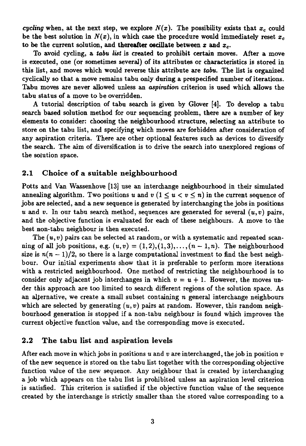*cycling* when, at the next step, we explore  $N(x)$ . The possibility exists that  $x_c$  could be the best solution in  $N(x)$ , in which case the procedure would immediately reset  $x_c$ to be the current solution, and thereafter oscillate between x and  $x_c$ .

To avoid cycling, a *tabu list* is created to prohibit certain moves. After a move is executed, one (or sometimes several) of its attributes or characteristics is stored in this list, and moves which would reverse this attribute are *tabu.* The list is organized cyclically so that a move remains tabu only during a prespecified number of iterations. Tabu moves are never allowed unless **an** *aspiration* **criterion is used** which allows the tabu status of a move to be overridden.

A tutorial description of tabu search is given by Glover [4]. To develop a tabu search based solution method for our sequencing problem, there are a number of key elements to consider: choosing the neighbourhood structure, selecting an attribute to store on the tabu list, and specifying which moves are forbidden after consideration of any aspiration criteria. There are other optional features such *as* devices to diversify the search. The aim of diversification is to drive the search into unexplored regions of the solution space.

#### **2.1 Choice of** a suitable neighbourhood

Potts and Van Wassenhove [13] use an interchange neighbourhood in their simulated annealing algorithm. Two positions u and  $v$  ( $1 \le u < v \le n$ ) in the current sequence of jobs are selected, and a new sequence is generated by interchanging the jobs in positions u and v. In our tabu search method, sequences are generated for several  $(u, v)$  pairs, and the objective function is evaluated for each of these neighbours. A move to the best non-tabu neighbour is then executed.

The  $(u, v)$  pairs can be selected at random, or with a systematic and repeated scanning of all job positions, e.g.  $(u, v) = (1, 2), (1, 3), \ldots, (n - 1, n)$ . The neighbourhood size is  $n(n-1)/2$ , so there is a large computational investment to find the best neighbour. Our initial experiments show that it is preferable to perform more iterations with a restricted neighbourhood. One method of restricting the neighbourhood is to consider only adjacent job interchanges in which  $v = u + 1$ . However, the moves under this approach are too limited to search different regions of the solution space. As an alternative, we create a small subset containing  $n$  general interchange neighbours which are selected by generating  $(u, v)$  pairs at random. However, this random neighbourhood generation is stopped if a non-tabu neighbour is found which improves the current objective function value, and the corresponding move is executed.

#### **2.2 The** tabu list and aspiration levels

After each move in which jobs in positions  $u$  and  $v$  are interchanged, the job in position  $v$ of the new sequence is stored on the tabu list together with the corresponding objective function value of the new sequence. Any neighbour that is created by interchanging a job which appears on the tabu list is prohibited unless an aspiration level criterion is satisfied. This criterion is satisfied if the objective function value of the sequence created by the interchange is strictly smaller than the stored value corresponding to a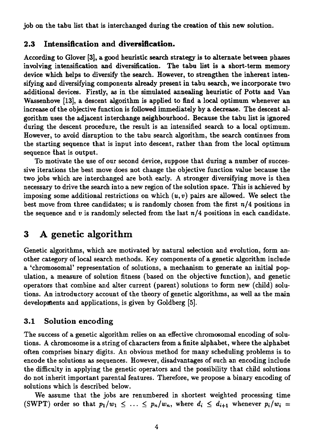job on the tabu list that is interchanged during the creation of this new solution.

### **2.3 Intensification and diversification.**

According to Glover [3], a good heuristic search strategy is to alternate between phases involving intensification and diversification. The tabu list is a short-term memory device which helps to diversify the search. However, to strengthen the inherent intensifying and diversifying components already present in tabu search, we incorporate two additional devices. Firstly, as in the simulated annealing heuristic of Potts and Van Wassenhove [13], a descent algorithm is applied to find a local optimum whenever an increase of the objective function is followed immediately by a decrease. The descent algorithm uses the adjacent interchange neighbourhood. Because the tabu list is ignored during the descent procedure, the result is an intensified search to a local optimum. However, to avoid disruption to the tabu search algorithm, the search continues from the starting sequence that is input into descent, rather than from the local optimum sequence that is output.

To motivate the use of our second device, suppose that during a number of successive iterations the best move does not change the objective function value because the two jobs which are interchanged are both early. A stronger diversifying move is then necessary to drive the search into a new region of the solution space. This is achieved by imposing some additional restrictions on which  $(u, v)$  pairs are allowed. We select the best move from three candidates;  $u$  is randomly chosen from the first  $n/4$  positions in the sequence and  $v$  is randomly selected from the last  $n/4$  positions in each candidate.

## 3 A genetic algorithm

Genetic algorithms, which are motivated by natural selection and evolution, form another category of local search methods. Key components of a genetic algorithm include a 'chromosomal' representation of solutions, a mechanism to generate an initial population, a measure of solution fitness (based on the objective function), and genetic operators that combine and alter current (parent) solutions to form new (child) solutions. An introductory account of the theory of genetic algorithms, *as* well as the main developments and applications, is given by Goldberg [5].

## 3.1 Solution encoding

The success of a genetic algorithm relies on an effective chromosomal encoding of solutions. A chromosome is a string of characters from a finite alphabet, where the alphabet often comprises binary digits. An obvious method for many scheduling problems is to encode the solutions as sequences. However, disadvantages of such an encoding include the difficulty in applying the genetic operators and the possibility that child solutions do not inherit important parental features. Therefore, we propose a binary encoding of solutions which is described below. tions. An introductory account of the theory of genetic algorithms, as well as the main<br>developments and applications, is given by Goldberg [5].<br>
3.1 Solution encoding<br>
The success of a genetic algorithm relies on an effe

We assume that the jobs are renumbered in shortest weighted processing time (SWPT) order so that  $p_1/w_1 \leq ... \leq p_n/w_n$ , where  $d_i \leq d_{i+1}$  whenever  $p_i/w_i =$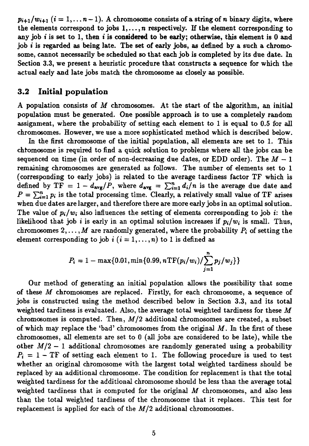$p_{i+1}/w_{i+1}$   $(i = 1, ..., n-1)$ . A chromosome consists of a string of n binary digits, where the elements correspond to jobs  $1, \ldots, n$  respectively. If the element corresponding to any job  $i$  is set to 1, then  $i$  is considered to be early; otherwise, this element is 0 and job i is regarded as being late. The set of early jobs, *as* defined by a such a chromosome, cannot necessarily be scheduled so that each job is completed by its due date. In Section 3.3, we present a heuristic procedure that constructs a sequence for which the actual early and late jobs match the chromosome as closely *as* possible.

#### **3.2 Initial population**

A population consists of *M* chromosomes. At the start of the algorithm, an initial population must be generated. One possible approach is to use a completely random assignment, where the probability of setting each element to 1 is equal to 0.5 for all chromosomes. However, we use a more sophisticated method which is described below.

In the first chromosome of the initial population, all elements are set to 1. This chromosome is required to find a quick solution to problems where all the jobs can be sequenced on time (in order of non-decreasing due dates, or EDD order). The  $M - 1$ remaining chromosomes are generated *as* follows. The number of elements set to 1 (corresponding to early jobs) is related to the average tardiness factor TF which is Section 3.3, we present a heuristic procedure that constructs a sequence for which the actual early and late jobs match the chromosome as closely as possible.<br>
3.2 Initial population<br>
A population consists of M chromosome defined by  $TF = 1 - d_{avg}/P$ , where  $d_{avg} = \sum_{i=1}^{n} d_i/n$  is the average due date and  $P = \sum_{i=1}^{n} p_i$  is the total processing time. Clearly, a relatively small value of TF arises when due dates are larger, and therefore there are more early jobs in an optimal solution. The value of  $p_i/w_i$  also influences the setting of elements corresponding to job i: the likelihood that job *i* is early in an optimal solution increases if  $p_i/w_i$  is small. Thus, chromosomes  $2, \ldots, M$  are randomly generated, where the probability  $P_i$  of setting the element corresponding to job  $i$  ( $i = 1, ..., n$ ) to 1 is defined as

$$
P_i = 1 - \max\{0.01, \min\{0.99, n \text{TF}(p_i/w_i)/\sum_{j=1}^n p_j/w_j\}\}
$$

Our method of generating an initial population allows the possibility that some of these *M* chromosomes are replaced. Firstly, for each chromosome, a sequence of jobs is constructed using the method described below in Section 3.3, and its total weighted tardiness is evaluated. Also, the average total weighted tardiness for these *M* chromosomes is computed. Then,  $M/2$  additional chromosomes are created, a subset of which may replace the 'bad' chromosomes from the original *M.* In the first of these chromosomes, all elements are set to 0 (all jobs are considered to be late), while the other  $M/2 - 1$  additional chromosomes are randomly generated using a probability  $P_i = 1 - TF$  of setting each element to 1. The following procedure is used to test whether an original chromosome with the largest total weighted tardiness should be replaced by an additional chromosome. The condition for replacement is that the total weighted tardiness for the additional chromosome should be less than the average total weighted tardiness that is computed for the original *M* chromosomes, and also less than the total weighted tardiness of the chromosome that it replaces. This test for replacement is applied for each of the  $M/2$  additional chromosomes.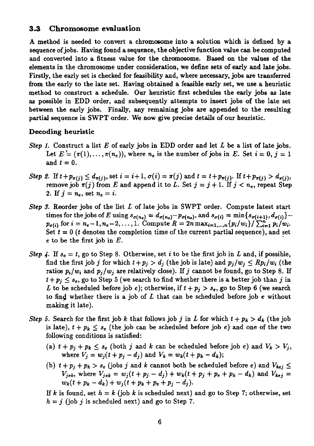#### **3.3 Chromosome evaluation**

A method is needed to convert a chromosome into a solution which is defined by a sequence of jobs. Having found a sequence, the objective function value can be computed and converted into a fitness value for the chromosome. Based on the values of the elements in the chromosome under consideration, we define sets of early and late jobs. Firstly, the early set is checked for feasibility and, where necessary, jobs are transferred from the early to the late set. Having obtained a feasible early set, we use a heuristic method to construct a schedule. Our heuristic first schedules the early jobs *as late as* possible in EDD order, and subsequently attempts to insert jobs of the late set between the early jobs. Finally, any remaining jobs are appended to the resulting partial sequence in SWPT order. We now give precise details of our heuristic.

#### Decoding heuristic

- *Step 1.* Construct a list *E* of early jobs in EDD order and let *L* be a list of late jobs. Let  $E = (\pi(1), \ldots, \pi(n_e))$ , where  $n_e$  is the number of jobs in *E*. Set  $i = 0, j = 1$ and  $t = 0$ .
- *Step 2.* If  $t + p_{\pi(i)} \leq d_{\pi(i)}$ , set  $i = i+1$ ,  $\sigma(i) = \pi(j)$  and  $t = t + p_{\pi(i)}$ . If  $t + p_{\pi(i)} > d_{\pi(i)}$ , remove job  $\pi(j)$  from *E* and append it to *L*. Set  $j = j + 1$ . If  $j < n_e$ , repeat Step 2. If  $j=n_e$ , set  $n_e=i$ .
- *Step 3.* Reorder jobs of the list *L* of late jobs in SWPT order. Compute latest start times for the jobs of *E* using  $s_{\sigma(n_e)} = d_{\sigma(n_e)} - p_{\sigma(n_e)}$ , and  $s_{\sigma(i)} = \min\{s_{\sigma(i+1)}, d_{\sigma(i)}\}$  $p_{\sigma(i)}$  for  $i = n_e - 1, n_e - 2, \ldots, 1$ . Compute  $R = 2n \max_{i=1,\ldots,n} \{p_i/w_i\} / \sum_{i=1}^{n} p_i/w_i$ . Set  $t = 0$  (t denotes the completion time of the current partial sequence), and set e to be the first job in *E.*
- *Step 4.* If  $s_e = t$ , go to Step 8. Otherwise, set i to be the first job in L and, if possible, find the first job j for which  $t+p_j > d_j$  (the job is late) and  $p_j/w_j \leq Rp_i/w_i$  (the ratios  $p_i/w_i$  and  $p_j/w_j$  are relatively close). If j cannot be found, go to Step 8. If  $t+p_j \leq s_e$ , go to Step 5 (we search to find whether there is a better job than j in *L* to be scheduled before job *e*); otherwise, if  $t + p_i > s_e$ , go to Step 6 (we search to find whether there is a job of *L* that can be scheduled before job *e* without making it late). is  $p_i/w_i$  and  $p_j/w_j$  are relatively close). If j cannot be  $\leq s_e$ , go to Step 5 (we search to find whether there is be scheduled before job e); otherwise, if  $t + p_j > s_e$ , g dd whether there is a job of L that can be schedu *V*e *S* and *V* and *V* and *V* and *V* and *V* and *V* and *V* and *V* and *V* and *V* and *V* and *V* and *V* and *V* and *V* and *V* and *V* and *V* and *V* and *V* and *V* and *V* and *V* and *V* and *V* and *V* and
- *Step 5.* Search for the first job *k* that follows job *j* in *L* for which  $t + p_k > d_k$  (the job is late),  $t + p_k \leq s_e$  (the job can be scheduled before job e) and one of the two following conditions is satisfied:
	- (a)  $t + p_j + p_k \le s_e$  (both *j* and *k* can be scheduled before job *e*) and  $V_k > V_j$ , where  $V_i = w_i(t + p_i d_i)$  and  $V_k = w_k(t + p_k d_k)$ ;
- (b)  $t + p_j + p_k > s_e$  (jobs *j* and *k* cannot both be scheduled before *e*) and  $V_{kej} \le V_{jek}$ , where  $V_{jek} = w_j(t + p_j d_j) + w_k(t + p_j + p_k d_k)$  and  $V_{kej} = w_j(t + p_j d_j) + w_k(t + p_j + d_k)$ *hether there is a job of L that can be*<br>*late*).<br> $+ p_k \leq s_e$  *(the job can be scheduled b conditions is satisfied:<br>* $+ p_k \leq s_e$  *(both <i>j* and *k* can be scheduled b<br> $eV_j = w_j(t + p_j - d_j)$  and  $V_k = w_k(t +$ <br> $+ p_k > s_e$  (jobs *j* and *k*

If *k* is found, set  $h = k$  (job *k* is scheduled next) and go to Step 7; otherwise, set  $h = j$  (job j is scheduled next) and go to Step 7.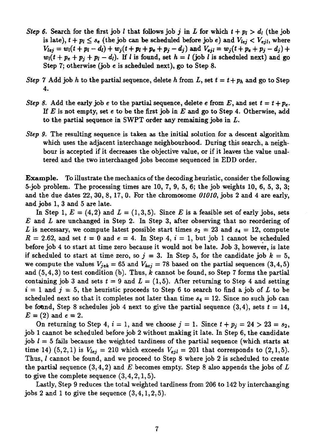- *Step 6.* Search for the first job *l* that follows job *j* in *L* for which  $t + p_l > d_l$  (the job is late),  $t + p_l \leq s_e$  (the job can be scheduled before job e) and  $V_{lej} < V_{ejl}$ , where  $V_{lej} = w_i(t + p_i - d_i) + w_j(t + p_i + p_e + p_j - d_j)$  and  $V_{eji} = w_j(t + p_e + p_j - d_j) + v_j(t + p_i + p_i - d_j)$  $w_i(t + p_e + p_j + p_l - d_i)$ . If *l* is found, set  $h = l$  (job *l* is scheduled next) and go Step 7; otherwise (job e is scheduled next), go to Step 8.
- *Step 7* Add job *h* to the partial sequence, delete *h* from *L*, set  $t = t + p_h$  and go to Step 4.
- *Step 8.* Add the early job *e* to the partial sequence, delete *e* from *E*, and set  $t = t + p_e$ . If *E* is not empty, set e to be the first job in *E* and go to Step 4. Otherwise, add to the partial sequence in SWPT order *any* remaining jobs in *L.*
- *Step 9.* The resulting sequence is taken *as* the initial solution for a descent algorithm which uses the adjacent interchange neighbourhood. During this search, a neighbour is accepted if it decreases the objective value, or if it leaves the value unaltered and the two interchanged jobs become sequenced in EDD order.

Example. To illustrate the mechanics of the decoding heuristic, consider the following 5-job problem. The processing times are 10, 7, 9, 5, 6; the job weights 10, 6, 5, 3, 3; and the due dates 22, 30, 8, 17, 0. For the chromosome *01010,* jobs 2 and 4 are early, and jobs 1, 3 and 5 are late.

In Step 1,  $E = (4,2)$  and  $L = (1,3,5)$ . Since *E* is a feasible set of early jobs, sets *E* and *L are* unchanged in Step 2. In Step 3, after observing that no reordering of L is necessary, we compute latest possible start times  $s_2 = 23$  and  $s_4 = 12$ , compute  $R = 2.62$ , and set  $t = 0$  and  $e = 4$ . In Step 4,  $i = 1$ , but job 1 cannot be scheduled before job 4 to start at time zero because it would not be late. Job 3, however, is late if scheduled to start at time zero, so  $j = 3$ . In Step 5, for the candidate job  $k = 5$ , we compute the values  $V_{iek} = 65$  and  $V_{kej} = 78$  based on the partial sequences (3,4,5) and (5,4,3) to test condition (b). Thus, *k* cannot be found, so Step 7 forms the partial containing job 3 and sets  $t = 9$  and  $L = (1,5)$ . After returning to Step 4 and setting  $i = 1$  and  $j = 5$ , the heuristic proceeds to Step 6 to search to find a job of L to be scheduled next so that it completes not later than time  $s_4 = 12$ . Since no such job can be found, Step 8 schedules job 4 next to give the partial sequence  $(3,4)$ , sets  $t = 14$ , *E=* (2) and *e =* 2.

On returning to Step 4,  $i = 1$ , and we choose  $j = 1$ . Since  $t + p_j = 24 > 23 = s_2$ , job 1 cannot be scheduled before job 2 without making it late. In Step 6, the candidate job *1 =* 5 fails because the weighted tardiness of the partial sequence (which starts at time 14)  $(5,2,1)$  is  $V_{lej} = 210$  which exceeds  $V_{eij} = 201$  that corresponds to  $(2,1,5)$ . Thus, *1* cannot be found, and we proceed to Step 8 where job 2 is scheduled to create the partial sequence (3,4,2) and *E* becomes empty. Step 8 also appends the jobs of *L* to give the complete sequence  $(3,4,2,1,5)$ .

Lastly, Step 9 reduces the total weighted tardiness from 206 to 142 by interchanging jobs 2 and 1 to give the sequence  $(3,4,1,2,5)$ .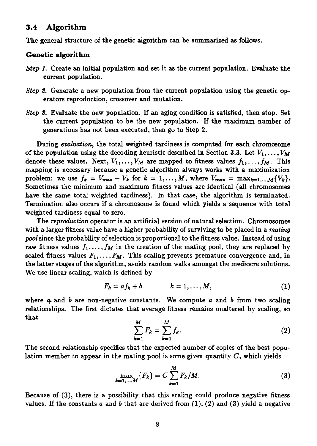#### **3.4 Algorithm**

The general structure of the genetic algorithm can be summarized as follows.

#### Genetic algorithm

- *Step I.* Create an initial population and set it as the current population. Evaluate the current population.
- *Step 2.* Generate a new population from the current population using the genetic operators reproduction, crossover and mutation.
- *Step 3.* Evaluate the new population. If an aging condition is satisfied, then stop. Set the current population to be the new population. If the maximum number of generations has not been executed, then go to Step 2.

During *evaluation,* the total weighted tardiness is computed for each chromosome of the population using the decoding heuristic described in Section 3.3. Let  $V_1, \ldots, V_M$ denote these values. Next,  $V_1, \ldots, V_M$  are mapped to fitness values  $f_1, \ldots, f_M$ . This mapping is necessary because a genetic algorithm always works with a maximization problem: we use  $f_k = V_{\text{max}} - V_k$  for  $k = 1, ..., M$ , where  $V_{\text{max}} = \max_{k=1,...,M} \{V_k\}.$ Sometimes the minimum and maximum fitness values are identical (all chromosomes have the same total weighted tardiness). In that case, the algorithm is terminated. Termination also occurs if a chromosome is found which yields a sequence with total weighted tardiness equal to zero.

The *reproduction* operator is an artificial version of natural selection. Chromosomes with a larger fitness value have a higher probability of surviving to be placed in a *mating pool* since the probability of selection is proportional to the fitness value. Instead of using raw fitness values  $f_1, \ldots, f_M$  in the creation of the mating pool, they are replaced by scaled fitness values  $F_1, \ldots, F_M$ . This scaling prevents premature convergence and, in the latter stages of the algorithm, avoids random walks amongst the mediocre solutions. We use linear scaling, which is defined by valian of the mating pool, they are replaced by<br>
scaling prevents premature convergence and, in<br>
s random walks amongst the mediocre solutions.<br>
by<br>  $k = 1, ..., M,$  (1)<br>
ants. We compute a and b from two scaling<br>
verage fitnes extion is proportional to the fitness value. Instead of using<br>
n the creation of the mating pool, they are replaced by<br>  $M$ . This scaling prevents premature convergence and, in<br>
m, avoids random walks amongst the mediocre

$$
F_k = af_k + b \qquad k = 1, \ldots, M, \qquad (1)
$$

where **a** and *b* are non-negative constants. We compute *a* and *b* from two scaling relationships. The first dictates that average fitness remains unaltered by scaling, so that his scaling p<br> *k*=1<br> *k*=1<br> *k*=1<br> *k*=1<br> *k*=1<br> *k*=1<br> *k*=1<br> *k*=1<br> *k*=1<br> *k*=1<br> *k*=1<br> *k*=1<br> *k*=1<br> *k*=1<br> *k*=1<br> *k*=1<br> *k*=1<br> *k*=1<br> *k*=1<br> *k*=1<br> *k*=1

$$
\sum_{k=1}^{M} F_k = \sum_{k=1}^{M} f_k.
$$
 (2)

The second relationship specifies that the expected number of copies of the best population member to appear in the mating pool is some given quantity  $C$ , which yields

$$
\max_{k=1,\dots,M} \{F_k\} = C \sum_{k=1}^M F_k/M.
$$
 (3)

Because of (3), there is a possibility that this scaling could produce negative fitness values. If the constants *a* and *b* that are derived from (1), (2) and (3) yield a negative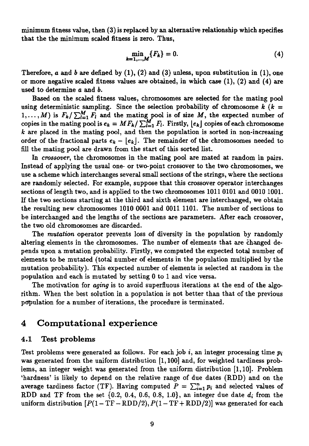minimum fitness value, then (3) is replaced by an alternative relationship which specifies that the the minimum scaled fitness is zero. Thus,

$$
\min_{k=1,\dots,M} \{F_k\} = 0. \tag{4}
$$

placed by an alternative relationship which specifies<br>
is zero. Thus,<br>  $\min_{j=1,...,M} \{F_k\} = 0.$  (4)<br>
(4), (2) and (3) unless, upon substitution in (1), one<br>
es are obtained, in which case (1), (2) and (4) are Therefore,  $a$  and  $b$  are defined by  $(1)$ ,  $(2)$  and  $(3)$  unless, upon substitution in  $(1)$ , one or more negative scaled fitness values are obtained, in which case  $(1)$ ,  $(2)$  and  $(4)$  are used to determine a and *b.*

Based on the scaled fitness values, chromosomes are selected for the mating pool using deterministic sampling. Since the selection probability of chromosome *k (k =*  $1, \ldots, M$ ) is  $F_k / \sum_{l=1}^M F_l$  and the mating pool is of size *M*, the expected number of copies in the mating pool is  $e_k = M F_k / \sum_{i=1}^M F_i$ . Firstly,  $[e_k]$  copies of each chromosome *k* are placed in the mating pool, and then the population is sorted in non-increasing order of the fractional parts  $e_k - |e_k|$ . The remainder of the chromosomes needed to fill the mating pool are drawn from the start of this sorted list.

In *crossover,* the chromosomes in the mating pool are mated at random in pairs. Instead of applying the usual one- or two-point crossover to the two chromosomes, we use a scheme which interchanges several small sections of the strings, where the sections are randomly selected. For example, suppose that this crossover operator interchanges sections of length two, and is applied to the two chromosomes 1011 0101 and 0010 1001. If the two sections starting at the third and sixth element are interchanged, we obtain the resulting new chromosomes 1010 0001 and 0011 1101. The number of sections to be interchanged and the lengths of the sections are parameters. After each crossover, the two old chromosomes are discarded.

The *mutation* operator prevents loss of diversity in the population by randomly altering elements in the chromosomes. The number of elements that are changed depends upon a mutation probability. Firstly, we computed the expected total number of elements to be mutated (total number of elements in the population multiplied by the mutation probability). This expected number of elements is selected at random in the population and each is mutated by setting 0 to 1 and vice versa.

The motivation for *aging* is to avoid superfluous iterations at the end of the algorithm. When the best solution in a population is not better than that of the previous population for a number of iterations, the procedure is terminated.

## **4 Computational experience**

#### 4.1 Test problems

Test problems were generated as follows. For each job i, an integer processing time  $p_i$ was generated from the uniform distribution [1,100] and, for weighted tardiness problems, an integer weight was generated from the uniform distribution [1,10]. Problem `hardness' is likely to depend on the relative range of due dates (RDD) and on the average tardiness factor (TF). Having computed  $P = \sum_{i=1}^{n} p_i$  and selected values of RDD and TF from the set {0.2, 0.4, 0.6, 0.8, 1.0}, an integer due date *di* from the uniform distribution  $[P(1 - TF - RDD/2), P(1 - TF + RDD/2)]$  was generated for each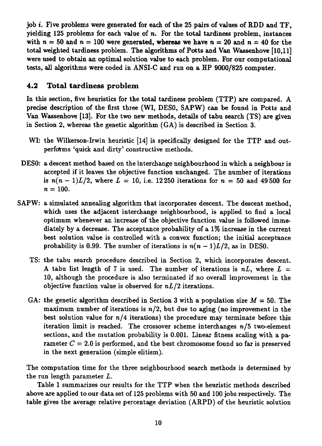job i. Five problems were generated for each of the 25 pairs of values of RDD and TF, yielding 125 problems for each value of *n.* For the total tardiness problem, instances with  $n = 50$  and  $n = 100$  were generated, whereas we have  $n = 20$  and  $n = 40$  for the total weighted tardiness problem. The algorithms of Potts and Van Wassenhove [10,11] were used to obtain an optimal solution value to each problem. For our computational tests, all algorithms were coded in ANSI-C and run on a HP 9000/825 computer.

## **4.2 Total tardiness problem**

In this section, five heuristics for the total tardiness problem (TTP) are compared. A precise description of the first three (WI, DESO, SAPW) can be found in Potts and Van Wassenhove [13]. For the two new methods, details of tabu search (TS) are given in Section 2, whereas the genetic algorithm (GA) is described in Section 3.

- WI: the Wilkerson-Irwin heuristic [14] is specifically designed for the TTP and outperfdrms 'quick and dirty' constructive methods.
- DESO: a descent method based on the interchange neighbourhood in which a neighbour is accepted if it leaves the objective function unchanged. The number of iterations is  $n(n-1)L/2$ , where  $L = 10$ , i.e. 12 250 iterations for  $n = 50$  and 49 500 for  $n = 100$ .
- SAPW: a simulated annealing algorithm that incorporates descent. The descent method, which uses the adjacent interchange neighbourhood, is applied to find a local optimum whenever an increase of the objective function value is followed immediately by a decrease. The acceptance probability of a 1% increase in the current best solution value is controlled with a convex function; the initial acceptance probability is 0.99. The number of iterations is  $n(n-1)L/2$ , as in DES0.
	- TS: the tabu search procedure described in Section 2, which incorporates descent. A tabu list length of 7 is used. The number of iterations is  $nL$ , where  $L =$ 10, although the procedure is also terminated if no overall improvement in the objective function value is observed for  $nL/2$  iterations.
	- GA: the genetic algorithm described in Section 3 with a population size *M =* 50. The maximum number of iterations is  $n/2$ , but due to aging (no improvement in the best solution value for  $n/4$  iterations) the procedure may terminate before this iteration limit is reached. The crossover scheme interchanges  $n/5$  two-element sections, and the mutation probability is 0.001. Linear fitness scaling with a parameter  $C = 2.0$  is performed, and the best chromosome found so far is preserved in the next generation (simple elitism).

The computation time for the three neighbourhood search methods is determined by the run length parameter *L.*

Table 1 summarizes our results for the TTP when the heuristic methods described above are applied to our data set of 125 problems with 50 and 100 jobs respectively. The table gives the average relative percentage deviation (ARPD) of the heuristic solution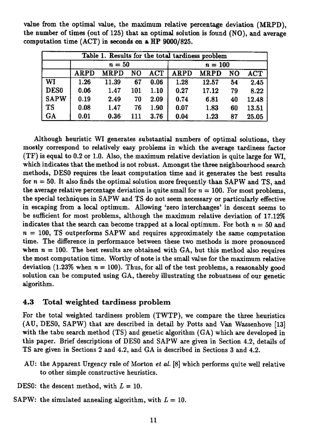| Table 1. Results for the total tardiness problem |                                                                                                              |        |     |           |      |       |    |       |  |  |
|--------------------------------------------------|--------------------------------------------------------------------------------------------------------------|--------|-----|-----------|------|-------|----|-------|--|--|
|                                                  |                                                                                                              | $n=50$ |     | $n = 100$ |      |       |    |       |  |  |
|                                                  | <b>MRPD</b><br><b>ARPD</b><br><b>ACT</b><br>N <sub>O</sub><br><b>ARPD</b><br><b>MRPD</b><br>NO<br><b>ACT</b> |        |     |           |      |       |    |       |  |  |
| WI                                               | 1.26                                                                                                         | 11.39  | 67  | 0.06      | 1.28 | 12.57 | 54 | 2.45  |  |  |
| <b>DES0</b>                                      | 0.06                                                                                                         | 1.47   | 101 | 1.10      | 0.27 | 17.12 | 79 | 8.22  |  |  |
| <b>SAPW</b>                                      | 0.19                                                                                                         | 2.49   | 70  | 2.09      | 0.74 | 6.81  | 40 | 12.48 |  |  |
| <b>TS</b>                                        | 0.08                                                                                                         | 1.47   | 76  | 1.90      | 0.07 | 1.83  | 60 | 13.51 |  |  |
| GA                                               | 0.01                                                                                                         | 0.36   | 111 | 3.76      | 0.04 | 1.23  | 87 | 25.05 |  |  |

value from the optimal value, the maximum relative percentage deviation (MRPD), the number of times (out of 125) that an optimal solution is found (NO), and average computation time (ACT) in seconds on a HP 9000/825.

Although heuristic WI generates substantial numbers of optimal solutions, they mostly correspond to relatively easy problems in which the average tardiness factor (TF) is equal to 0.2 or 1.0. Also, the maximum relative deviation is quite large for WI, which indicates that the method is not robust. Amongst the three neighbourhood search methods, DESO requires the least computation time and it generates the best results for  $n = 50$ . It also finds the optimal solution more frequently than SAPW and TS, and the average relative percentage deviation is quite small for  $n = 100$ . For most problems, the special techniques in SAPW and TS do not seem necessary or particularly effective in escaping from a local optimum. Allowing 'zero interchanges' in descent seems to be sufficient for most problems, although the maximum relative deviation of 17.12% indicates that the search can become trapped at a local optimum. For both  $n = 50$  and  $n = 100$ , TS outperforms SAPW and requires approximately the same computation time. The difference in performance between these two methods is more pronounced when  $n = 100$ . The best results are obtained with GA, but this method also requires the most computation time. Worthy of note is the small value for the maximum relative deviation (1.23% when  $n = 100$ ). Thus, for all of the test problems, a reasonably good solution can be computed using GA, thereby illustrating the robustness of our genetic algorithm.

## 4.3 Total weighted tardiness problem

For the total weighted tardiness problem (TWTP), we compare the three heuristics (AU, DESO, SAPW) that are described in detail by Potts and Van Wassenhove [13] with the tabu search method (TS) and genetic algorithm (GA) which are developed in this paper. Brief descriptions of DESO and SAPW are given in Section 4.2, details of TS are given in Sections 2 and 4.2, and GA is described in Sections 3 and 4.2.

- AU: the Apparent Urgency rule of Morton *et al.* [8] which performs quite well relative to other simple constructive heuristics.
- DESO: the descent method, with *L =* 10.
- SAPW: the simulated annealing algorithm, with  $L = 10$ .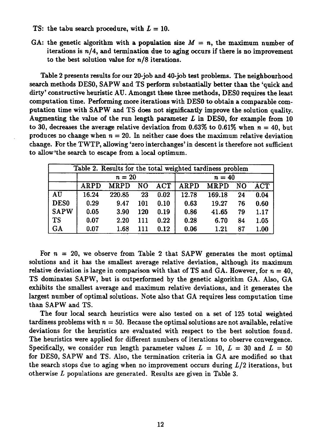- TS: the tabu search procedure, with  $L = 10$ .
- GA: the genetic algorithm with a population size  $M = n$ , the maximum number of iterations is  $n/4$ , and termination due to aging occurs if there is no improvement to the best solution value for  $n/8$  iterations.

Table 2 presents results for our 20-job and 40-job test problems. The neighbourhood search methods DESO, SAPW and TS perform substantially better than the 'quick and dirty' constructive heuristic AU. Amongst these three methods, DES0 requires the least computation time. Performing more iterations with DESO to obtain a comparable computation time with SAPW and TS does not significantly improve the solution quality. Augmenting the value of the run length parameter *L* in DESO, for example from 10 to 30, decreases the average relative deviation from  $0.63\%$  to  $0.61\%$  when  $n = 40$ , but produces no change when  $n = 20$ . In neither case does the maximum relative deviation change. For the TWTP, allowing 'zero interchanges' in descent is therefore not sufficient to allow 'the search to escape from a local optimum.

| Table 2. Results for the total weighted tardiness problem |             |        |            |        |       |          |    |      |  |  |
|-----------------------------------------------------------|-------------|--------|------------|--------|-------|----------|----|------|--|--|
|                                                           |             | $n=20$ |            | $n=40$ |       |          |    |      |  |  |
|                                                           | <b>ARPD</b> | NO     | <b>ACT</b> |        |       |          |    |      |  |  |
| AU                                                        | 16.24       | 220.85 | 23         | 0.02   | 12.78 | 169.18   | 24 | 0.04 |  |  |
| DES <sub>0</sub>                                          | 0.29        | 9.47   | 101        | 0.10   | 0.63  | 19.27    | 76 | 0.60 |  |  |
| <b>SAPW</b>                                               | 0.05        | 3.90   | 120        | 0.19   | 0.86  | 41.65    | 79 | 1.17 |  |  |
| <b>TS</b>                                                 | 0.07        | 2.20   | 111        | 0.22   | 0.28  | 6.70     | 84 | 1.05 |  |  |
| <b>GA</b>                                                 | 0.07        | 1.68   | 111        | 0.12   | 0.06  | $1.21\,$ | 87 | 1.00 |  |  |

For  $n = 20$ , we observe from Table 2 that SAPW generates the most optimal solutions and it has the smallest average relative deviation, although its maximum relative deviation is large in comparison with that of TS and GA. However, for  $n = 40$ , TS dominates SAPW, but is outperformed by the genetic algorithm GA. Also, GA exhibits the smallest average and maximum relative deviations, and it generates the largest number of optimal solutions. Note also that GA requires less computation time than SAPW and TS.

The four local search heuristics were also tested on a set of 125 total weighted tardiness problems with  $n = 50$ . Because the optimal solutions are not available, relative deviations for the heuristics are evaluated with respect to the best solution found. The heuristics were applied for different numbers of iterations to observe convergence. Specifically, we consider run length parameter values  $L = 10$ ,  $L = 30$  and  $L = 50$ for DESO, SAPW and TS. Also, the termination criteria in GA are modified so that the search stops due to aging when no improvement occurs during  $L/2$  iterations, but otherwise *L* populations are generated. Results are given in Table 3.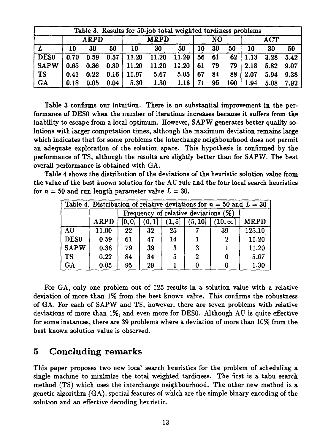| Table 3. Results for 50-job total weighted tardiness problems |      |      |             |       |       |       |    |                           |     |      |      |      |
|---------------------------------------------------------------|------|------|-------------|-------|-------|-------|----|---------------------------|-----|------|------|------|
|                                                               |      | ARPD | <b>MRPD</b> |       | NO.   |       |    | $\mathbf{ACT}\phantom{.}$ |     |      |      |      |
|                                                               | 10   | 30   | 50          | 10    | 30    | 50    | 10 | 30                        | 50  | 10   | 30   | 50   |
| DES0                                                          | 0.70 | 0.59 | 0.57        | 11.20 | 11.20 | 11.20 | 56 | 61                        | 62  | 1.13 | 3.28 | 5.42 |
| <b>SAPW</b>                                                   | 0.65 | 0.36 | 0.30        | 11.20 | 11.20 | 11.20 | 61 | 79                        | 79  | 2.18 | 5.82 | 9.07 |
| <b>TS</b>                                                     | 0.41 | 0.22 | 0.16        | 11.97 | 5.67  | 5.05  | 67 | 84                        | 88  | 2.07 | 5.94 | 9.38 |
| GA                                                            | 0.18 | 0.05 | 0.04        | 5.30  | 1.30  | 1.16  | 71 | 95                        | 100 | 1.94 | 5.08 | 7.92 |

Table 3 confirms our intuition. There is no substantial improvement in the performance of DESO when the number of iterations increases because it suffers from the inability to escape from a local optimum. However, SAPW generates better quality solutions with larger computation times, although the maximum deviation remains large which indicates that for some problems the interchange neighbourhood does not permit an adequate exploration of the solution space. This hypothesis is confirmed by the performance of TS, although the results are slightly better than for SAPW. The best overall performance is obtained with GA.

Table 4 shows the distribution of the deviations of the heuristic solution value from the value of the best known solution for the AU rule and the four local search heuristics for  $n = 50$  and run length parameter value  $L = 30$ .

| Table 4. Distribution of relative deviations for $n = 50$ and $L = 30$ |                                                                                    |    |                                         |    |   |          |        |  |  |  |  |
|------------------------------------------------------------------------|------------------------------------------------------------------------------------|----|-----------------------------------------|----|---|----------|--------|--|--|--|--|
|                                                                        |                                                                                    |    | Frequency of relative deviations $(\%)$ |    |   |          |        |  |  |  |  |
|                                                                        | ARPD<br>(5,10]<br>$10, \infty$<br>$\left[0,0\right]$<br>1, 5<br>$\left[0,1\right]$ |    |                                         |    |   |          |        |  |  |  |  |
| AU                                                                     | 11.00                                                                              | 22 | 32                                      | 25 |   | 39       | 125.10 |  |  |  |  |
| DES <sub>0</sub>                                                       | 0.59                                                                               | 61 | 47                                      | 14 |   | $\bf{2}$ | 11.20  |  |  |  |  |
| <b>SAPW</b>                                                            | 0.36                                                                               | 79 | 39                                      | -3 | 3 |          | 11.20  |  |  |  |  |
| <b>TS</b>                                                              | 0.22                                                                               | 84 | 34                                      | 5  | 2 |          | 5.67   |  |  |  |  |
| GA                                                                     | 0.05                                                                               | 95 | 29                                      |    |   |          | 1.30   |  |  |  |  |

For GA, only one problem out of 125 results in a solution value with a relative deviation of more than 1% from the best known value. This confirms the robustness of GA. For each of SAPW and TS, however, there are seven problems with relative deviations of more than 1%, and even more for DESO. Although AU is quite effective for some instances, there are 39 problems where a deviation of more than 10% from the best known solution value is observed.

## 5 Concluding remarks

This paper proposes two new local search heuristics for the problem of scheduling a single machine to minimize the total weighted tardiness. The first is a tabu search method (TS) which uses the interchange neighbourhood. The other new method is a genetic algorithm (GA), special features of which are the simple binary encoding of the solution and an effective decoding heuristic.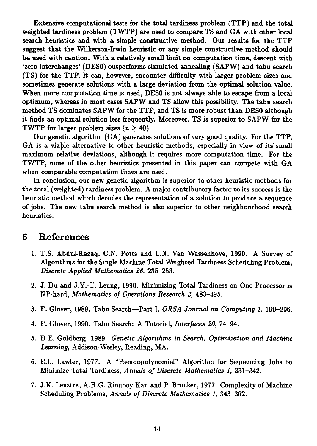Extensive computational tests for the total tardiness problem (TTP) and the total weighted tardiness problem (TWTP) are used to compare TS and GA with other local search heuristics and with a simple constructive method. Our results for the TTP suggest that the Wilkerson-Irwin heuristic or any simple constructive method should be used with caution. With a relatively small limit on computation time, descent with `zero interchanges' (DESO) outperforms simulated annealing (SAPW) and tabu search (TS) for the TTP. It can, however, encounter difficulty with larger problem sizes and sometimes generate solutions with a large deviation from the optimal solution value. When more computation time is used, DESO is not always able to escape from a local optimum, whereas in most cases SAPW and TS allow this possibility. The tabu search method TS dominates SAPW for the TTP, and TS is more robust than DESO although it finds an optimal solution less frequently. Moreover, TS is superior to SAPW for the TWTP for larger problem sizes *(n >* 40).

Our genetic algorithm (GA) generates solutions of very good quality. For the TTP, GA is a viable alternative to other heuristic methods, especially in view of its small maximum relative deviations, although it requires more computation time. For the TWTP, none of the other heuristics presented in this paper can compete with GA when comparable computation times are used.

In conclusion, our new genetic algorithm is superior to other heuristic methods for the total (weighted) tardiness problem. A major contributory factor to its success is the heuristic method which decodes the representation of a solution to produce a sequence of jobs. The new tabu search method is also superior to other neighbourhood search heuristics.

## **6 References**

- 1. T.S. Abdul-Razaq, C.N. Potts and L.N. Van Wassenhove, 1990. A Survey of Algorithms for the Single Machine Total Weighted Tardiness Scheduling Problem, *Discrete Applied Mathematics 26,* 235-253.
- 2. J. Du and J.Y.-T. Leung, 1990. Minimizing Total Tardiness on One Processor is NP-hard, *Mathematics of Operations Research 3,* 483-495.
- 3. F. Glover, 1989. Tabu Search—Part I, *ORSA Journal on Computing 1,* 190-206.
- 4. F. Glover, 1990. Tabu Search: A Tutorial, *Interfaces 20,* 74-94.
- 5. D.E. Goldberg, 1989. *Genetic Algorithms in Search, Optimization and Machine Learning,* Addison-Wesley, Reading, MA.
- 6. E.L. Lawler, 1977. A "Pseudopolynomial" Algorithm for Sequencing Jobs to Minimize Total Tardiness, *Annals of Discrete Mathematics 1,* 331-342.
- 7. J.K. Lenstra, A.H.G. Rinnooy Kan and P. Brucker, 1977. Complexity of Machine Scheduling Problems, Annals *of Discrete Mathematics 1,* 343-362.